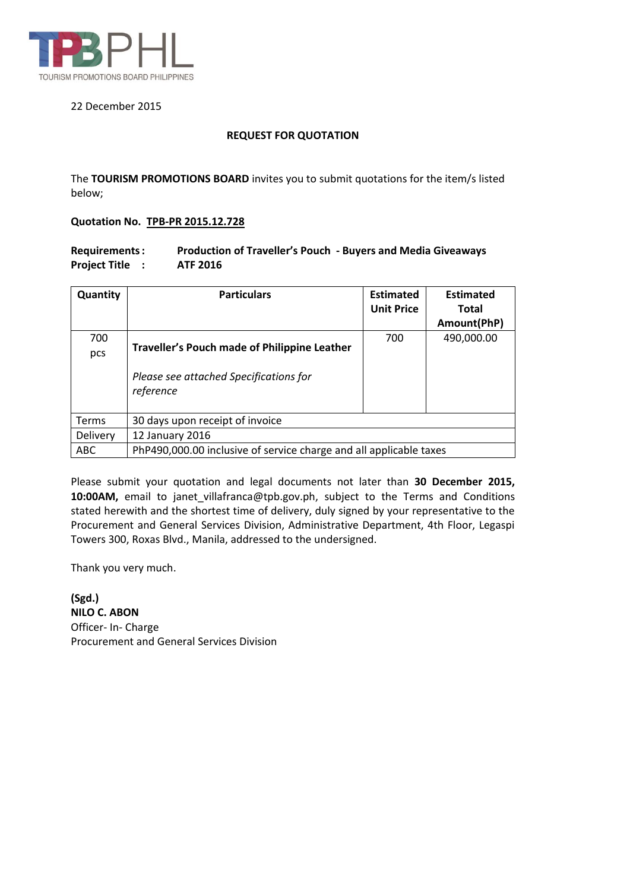

#### 22 December 2015

#### **REQUEST FOR QUOTATION**

The **TOURISM PROMOTIONS BOARD** invites you to submit quotations for the item/s listed below;

### **Quotation No. TPB-PR 2015.12.728**

| <b>Requirements:</b> | <b>Production of Traveller's Pouch - Buyers and Media Giveaways</b> |
|----------------------|---------------------------------------------------------------------|
| <b>Project Title</b> | <b>ATF 2016</b>                                                     |

| Quantity     | <b>Particulars</b>                                                 | <b>Estimated</b><br><b>Unit Price</b> | <b>Estimated</b><br><b>Total</b> |
|--------------|--------------------------------------------------------------------|---------------------------------------|----------------------------------|
|              |                                                                    |                                       | Amount(PhP)                      |
| 700          |                                                                    | 700                                   | 490,000.00                       |
| pcs          | <b>Traveller's Pouch made of Philippine Leather</b>                |                                       |                                  |
|              | Please see attached Specifications for<br>reference                |                                       |                                  |
| <b>Terms</b> | 30 days upon receipt of invoice                                    |                                       |                                  |
| Delivery     | 12 January 2016                                                    |                                       |                                  |
| <b>ABC</b>   | PhP490,000.00 inclusive of service charge and all applicable taxes |                                       |                                  |

Please submit your quotation and legal documents not later than **30 December 2015, 10:00AM,** email to janet\_villafranca@tpb.gov.ph, subject to the Terms and Conditions stated herewith and the shortest time of delivery, duly signed by your representative to the Procurement and General Services Division, Administrative Department, 4th Floor, Legaspi Towers 300, Roxas Blvd., Manila, addressed to the undersigned.

Thank you very much.

**(Sgd.) NILO C. ABON** Officer- In- Charge Procurement and General Services Division